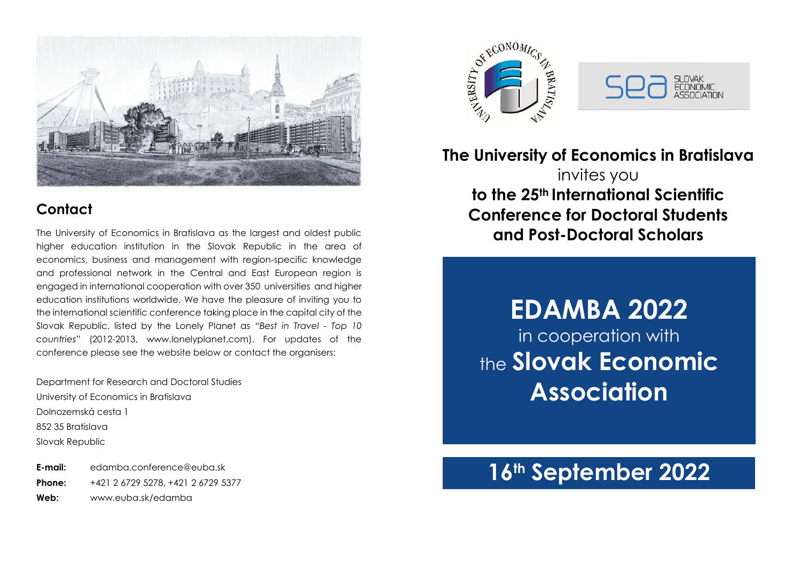

# **Contact**

The University of Economics in Bratislava as the largest and oldest public higher education institution in the Slovak Republic in the area of economics, business and management with region-specific knowledge and professional network in the Central and East European region is engaged in international cooperation with over 350 universities and higher education institutions worldwide. We have the pleasure of inviting you to the international scientific conference taking place in the capital city of the Slovak Republic, listed by the Lonely Planet as *"Best in Travel - Top 10 countries*" (2012-2013, www.lonelyplanet.com). For updates of the conference please see the website below or contact the organisers:

Department for Research and Doctoral Studies University of Economics in Bratislava Dolnozemská cesta 1 852 35 Bratislava Slovak Republic

**E-mail:** [edamba.conference@euba.sk](mailto:edamba.conference@euba.sk) **Phone:** +421 2 6729 5278, +421 2 6729 5377 **Web:** [www.euba.sk/edamba](http://www.euba.sk/edamba)





**The University of Economics in Bratislava** invites you **to the 25th International Scientific Conference for Doctoral Students and Post-Doctoral Scholars**

> **EDAMBA 2022** in cooperation with the **Slovak Economic Association**

# **16th September 2022**